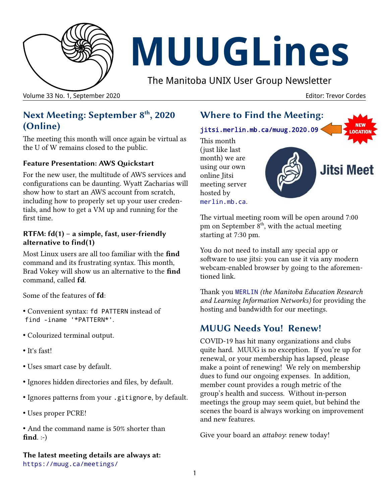

# **MUUGLines**

The Manitoba UNIX User Group Newsletter

Volume 33 No. 1, September 2020 **Editor: Trevor Cordes** Editor: Trevor Cordes

# **Next Meeting: September 8th, 2020 (Online)**

The meeting this month will once again be virtual as the U of W remains closed to the public.

#### **Feature Presentation: AWS Quickstart**

For the new user, the multitude of AWS services and configurations can be daunting. Wyatt Zacharias will show how to start an AWS account from scratch, including how to properly set up your user credentials, and how to get a VM up and running for the first time.

#### **RTFM: fd(1) – a simple, fast, user-friendly alternative to find(1)**

Most Linux users are all too familiar with the **find** command and its frustrating syntax. This month, Brad Vokey will show us an alternative to the **find** command, called **fd**.

Some of the features of **fd**:

- Convenient syntax: fd PATTERN instead of find -iname '\*PATTERN\*'.
- Colourized terminal output.
- It's fast!
- Uses smart case by default.
- Ignores hidden directories and files, by default.
- Ignores patterns from your .gitignore, by default.
- Uses proper PCRE!

• And the command name is 50% shorter than **find**. :-)

**The latest meeting details are always at:** <https://muug.ca/meetings/>

# **Where to Find the Meeting:**

[jitsi.merlin.mb.ca/muug.2020.09](http://jitsi.merlin.mb.ca/muug.2020.09)

This month (just like last month) we are using our own online Jitsi meeting server hosted by [merlin.mb.ca](http://merlin.mb.ca/).

**Jitsi Meet** 

The virtual meeting room will be open around 7:00 pm on September  $8<sup>th</sup>$ , with the actual meeting starting at 7:30 pm.

You do not need to install any special app or software to use jitsi: you can use it via any modern webcam-enabled browser by going to the aforementioned link.

Thank you [MERLIN](https://merlin.mb.ca/) *(the Manitoba Education Research and Learning Information Networks)* for providing the hosting and bandwidth for our meetings.

## **MUUG Needs You! Renew!**

COVID-19 has hit many organizations and clubs quite hard. MUUG is no exception. If you're up for renewal, or your membership has lapsed, please make a point of renewing! We rely on membership dues to fund our ongoing expenses. In addition, member count provides a rough metric of the group's health and success. Without in-person meetings the group may seem quiet, but behind the scenes the board is always working on improvement and new features.

Give your board an *attaboy*: renew today!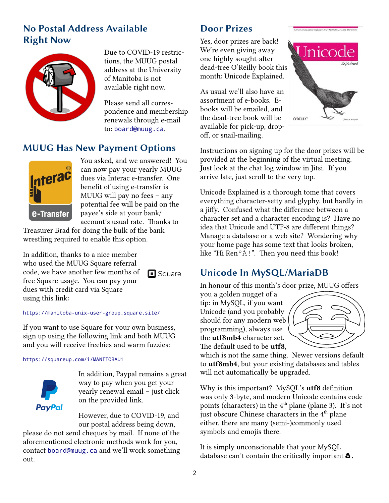# **No Postal Address Available Right Now**



Due to COVID-19 restrictions, the MUUG postal address at the University of Manitoba is not available right now.

Please send all correspondence and membership renewals through e-mail to: [board@muug.ca](mailto:board@muug.ca).

 $\Box$  Square

# **MUUG Has New Payment Options**



You asked, and we answered! You can now pay your yearly MUUG dues via Interac e-transfer. One benefit of using e-transfer is MUUG will pay no fees – any potential fee will be paid on the payee's side at your bank/ account's usual rate. Thanks to

Treasurer Brad for doing the bulk of the bank wrestling required to enable this option.

In addition, thanks to a nice member who used the MUUG Square referral code, we have another few months of free Square usage. You can pay your dues with credit card via Square using this link:

<https://manitoba-unix-user-group.square.site/>

If you want to use Square for your own business, sign up using the following link and both MUUG and you will receive freebies and warm fuzzies:

#### <https://squareup.com/i/MANITOBAU1>



In addition, Paypal remains a great way to pay when you get your yearly renewal email – just click on the provided link.

However, due to COVID-19, and our postal address being down,

please do not send cheques by mail. If none of the aforementioned electronic methods work for you, contact [board@muug.ca](mailto:board@muug.ca) and we'll work something out.

# **Door Prizes**

Yes, door prizes are back! We're even giving away one highly sought-after dead-tree O'Reilly book this month: Unicode Explained.

As usual we'll also have an assortment of e-books. Ebooks will be emailed, and the dead-tree book will be available for pick-up, dropoff, or snail-mailing.



Instructions on signing up for the door prizes will be provided at the beginning of the virtual meeting. Just look at the chat log window in Jitsi. If you arrive late, just scroll to the very top.

Unicode Explained is a thorough tome that covers everything character-setty and glyphy, but hardly in a jiffy. Confused what the difference between a character set and a character encoding is? Have no idea that Unicode and UTF-8 are different things? Manage a database or a web site? Wondering why your home page has some text that looks broken, like "Hi RenºÀ!". Then you need this book!

# **Unicode In MySQL/MariaDB**

In honour of this month's door prize, MUUG offers

you a golden nugget of a tip: in MySQL, if you want Unicode (and you probably should for any modern web programming), always use the **utf8mb4** character set. The default used to be **utf8**,



which is not the same thing. Newer versions default to **utf8mb4**, but your existing databases and tables will not automatically be upgraded.

Why is this important? MySQL's **utf8** definition was only 3-byte, and modern Unicode contains code points (characters) in the 4<sup>th</sup> plane (plane 3). It's not just obscure Chinese characters in the  $4<sup>th</sup>$  plane either, there are many (semi-)commonly used symbols and emojis there.

It is simply unconscionable that your MySQL database can't contain the critically important  $\triangle$ .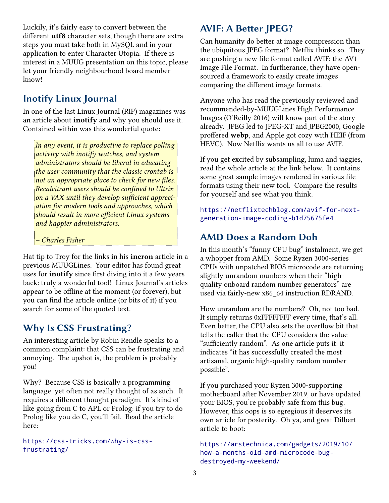Luckily, it's fairly easy to convert between the different **utf8** character sets, though there are extra steps you must take both in MySQL and in your application to enter Character Utopia. If there is interest in a MUUG presentation on this topic, please let your friendly neighbourhood board member know!

# **Inotify Linux Journal**

In one of the last Linux Journal (RIP) magazines was an article about **inotify** and why you should use it. Contained within was this wonderful quote:

*In any event, it is productive to replace polling activity with inotify watches, and system administrators should be liberal in educating the user community that the classic crontab is not an appropriate place to check for new files. Recalcitrant users should be confined to Ultrix on a VAX until they develop sufficient appreciation for modern tools and approaches, which should result in more efficient Linux systems and happier administrators.*

*– Charles Fisher*

Hat tip to Troy for the links in his **incron** article in a previous MUUGLines. Your editor has found great uses for **inotify** since first diving into it a few years back: truly a wonderful tool! Linux Journal's articles appear to be offline at the moment (or forever), but you can find the article online (or bits of it) if you search for some of the quoted text.

## **Why Is CSS Frustrating?**

An interesting article by Robin Rendle speaks to a common complaint: that CSS can be frustrating and annoying. The upshot is, the problem is probably you!

Why? Because CSS is basically a programming language, yet often not really thought of as such. It requires a different thought paradigm. It's kind of like going from C to APL or Prolog: if you try to do Prolog like you do C, you'll fail. Read the article here:

[https://css-tricks.com/why-is-css](https://css-tricks.com/why-is-css-frustrating/)[frustrating/](https://css-tricks.com/why-is-css-frustrating/)

# **AVIF: A Better JPEG?**

Can humanity do better at image compression than the ubiquitous JPEG format? Netflix thinks so. They are pushing a new file format called AVIF: the AV1 Image File Format. In furtherance, they have opensourced a framework to easily create images comparing the different image formats.

Anyone who has read the previously reviewed and recommended-by-MUUGLines High Performance Images (O'Reilly 2016) will know part of the story already. JPEG led to JPEG-XT and JPEG2000, Google proffered **webp**, and Apple got cozy with HEIF (from HEVC). Now Netflix wants us all to use AVIF.

If you get excited by subsampling, luma and jaggies, read the whole article at the link below. It contains some great sample images rendered in various file formats using their new tool. Compare the results for yourself and see what you think.

[https://netflixtechblog.com/avif-for-next](https://netflixtechblog.com/avif-for-next-generation-image-coding-b1d75675fe4)[generation-image-coding-b1d75675fe4](https://netflixtechblog.com/avif-for-next-generation-image-coding-b1d75675fe4)

# **AMD Does a Random Doh**

In this month's "funny CPU bug" instalment, we get a whopper from AMD. Some Ryzen 3000-series CPUs with unpatched BIOS microcode are returning slightly unrandom numbers when their "highquality onboard random number generators" are used via fairly-new x86\_64 instruction RDRAND.

How unrandom are the numbers? Oh, not too bad. It simply returns 0xFFFFFFFF every time, that's all. Even better, the CPU also sets the overflow bit that tells the caller that the CPU considers the value "sufficiently random". As one article puts it: it indicates "it has successfully created the most artisanal, organic high-quality random number possible".

If you purchased your Ryzen 3000-supporting motherboard after November 2019, or have updated your BIOS, you're probably safe from this bug. However, this oops is so egregious it deserves its own article for posterity. Oh ya, and great Dilbert article to boot:

```
https://arstechnica.com/gadgets/2019/10/
how-a-months-old-amd-microcode-bug-
destroyed-my-weekend/
```